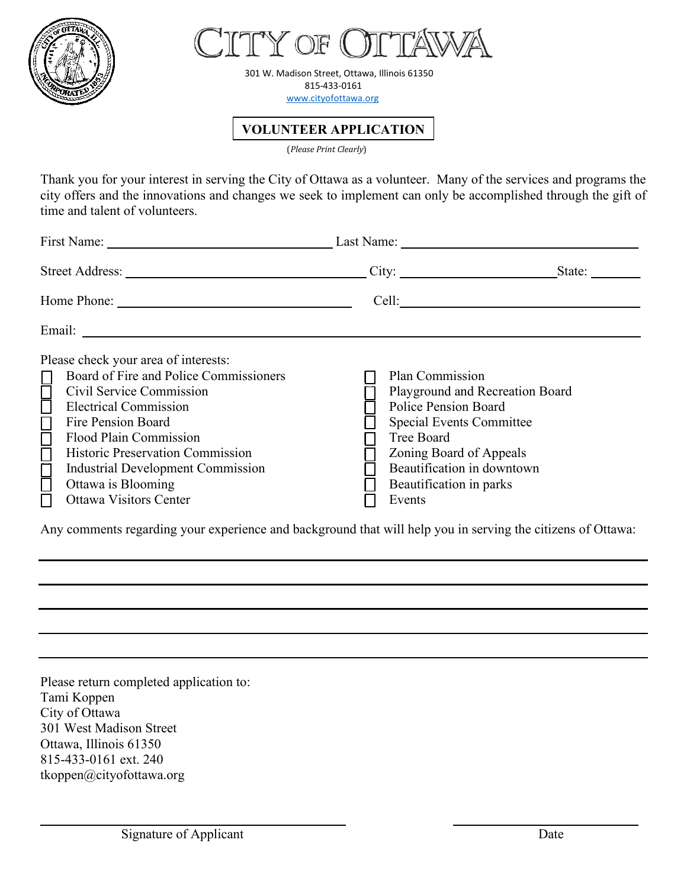



301 W. Madison Street, Ottawa, Illinois 61350 815-433-0161 [www.cityofottawa.org](http://www.cityofottawa.org/)

**VOLUNTEER APPLICATION**

(*Please Print Clearly*)

Thank you for your interest in serving the City of Ottawa as a volunteer. Many of the services and programs the city offers and the innovations and changes we seek to implement can only be accomplished through the gift of time and talent of volunteers.

| First Name: Last Name: Last Name:                                                                                                                                                                                                                                                                                                                                   |                                                                                                                                                                                               |                                 |
|---------------------------------------------------------------------------------------------------------------------------------------------------------------------------------------------------------------------------------------------------------------------------------------------------------------------------------------------------------------------|-----------------------------------------------------------------------------------------------------------------------------------------------------------------------------------------------|---------------------------------|
|                                                                                                                                                                                                                                                                                                                                                                     | City:                                                                                                                                                                                         | State: $\_\_$                   |
|                                                                                                                                                                                                                                                                                                                                                                     |                                                                                                                                                                                               |                                 |
|                                                                                                                                                                                                                                                                                                                                                                     |                                                                                                                                                                                               |                                 |
| Please check your area of interests:<br>Board of Fire and Police Commissioners<br><b>CICLOCACION</b><br>Civil Service Commission<br><b>Electrical Commission</b><br>Fire Pension Board<br>Flood Plain Commission<br><b>Historic Preservation Commission</b><br><b>Industrial Development Commission</b><br>Ottawa is Blooming<br>П<br><b>Ottawa Visitors Center</b> | Plan Commission<br><b>Police Pension Board</b><br><b>Special Events Committee</b><br>Tree Board<br>Zoning Board of Appeals<br>Beautification in downtown<br>Beautification in parks<br>Events | Playground and Recreation Board |

Any comments regarding your experience and background that will help you in serving the citizens of Ottawa:

**\_\_\_\_\_\_\_\_\_\_\_\_\_\_\_\_\_\_\_\_\_\_\_\_\_\_\_\_ \_\_\_ \_ \_\_\_\_\_\_ \_\_\_\_\_\_ \_\_\_\_\_\_\_\_\_\_\_\_\_\_\_\_\_\_\_\_\_** 

Please return completed application to: Tami Koppen City of Ottawa 301 West Madison Street Ottawa, Illinois 61350 815-433-0161 ext. 240 tkoppen@cityofottawa.org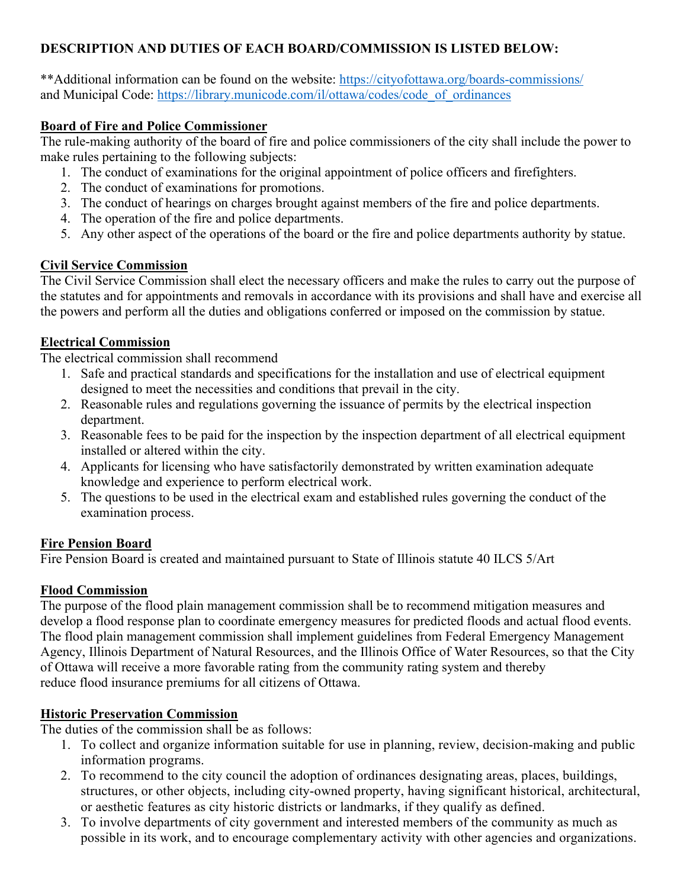# **DESCRIPTION AND DUTIES OF EACH BOARD/COMMISSION IS LISTED BELOW:**

\*\*Additional information can be found on the website:<https://cityofottawa.org/boards-commissions/> and Municipal Code: [https://library.municode.com/il/ottawa/codes/code\\_of\\_ordinances](https://library.municode.com/il/ottawa/codes/code_of_ordinances)

## **Board of Fire and Police Commissioner**

The rule-making authority of the board of fire and police commissioners of the city shall include the power to make rules pertaining to the following subjects:

- 1. The conduct of examinations for the original appointment of police officers and firefighters.
- 2. The conduct of examinations for promotions.
- 3. The conduct of hearings on charges brought against members of the fire and police departments.
- 4. The operation of the fire and police departments.
- 5. Any other aspect of the operations of the board or the fire and police departments authority by statue.

# **Civil Service Commission**

The Civil Service Commission shall elect the necessary officers and make the rules to carry out the purpose of the statutes and for appointments and removals in accordance with its provisions and shall have and exercise all the powers and perform all the duties and obligations conferred or imposed on the commission by statue.

# **Electrical Commission**

The electrical commission shall recommend

- 1. Safe and practical standards and specifications for the installation and use of electrical equipment designed to meet the necessities and conditions that prevail in the city.
- 2. Reasonable rules and regulations governing the issuance of permits by the electrical inspection department.
- 3. Reasonable fees to be paid for the inspection by the inspection department of all electrical equipment installed or altered within the city.
- 4. Applicants for licensing who have satisfactorily demonstrated by written examination adequate knowledge and experience to perform electrical work.
- 5. The questions to be used in the electrical exam and established rules governing the conduct of the examination process.

### **Fire Pension Board**

Fire Pension Board is created and maintained pursuant to State of Illinois statute 40 ILCS 5/Art

### **Flood Commission**

The purpose of the flood plain management commission shall be to recommend mitigation measures and develop a flood response plan to coordinate emergency measures for predicted floods and actual flood events. The flood plain management commission shall implement guidelines from Federal Emergency Management Agency, Illinois Department of Natural Resources, and the Illinois Office of Water Resources, so that the City of Ottawa will receive a more favorable rating from the community rating system and thereby reduce flood insurance premiums for all citizens of Ottawa.

# **Historic Preservation Commission**

The duties of the commission shall be as follows:

- 1. To collect and organize information suitable for use in planning, review, decision-making and public information programs.
- 2. To recommend to the city council the adoption of ordinances designating areas, places, buildings, structures, or other objects, including city-owned property, having significant historical, architectural, or aesthetic features as city historic districts or landmarks, if they qualify as defined.
- 3. To involve departments of city government and interested members of the community as much as possible in its work, and to encourage complementary activity with other agencies and organizations.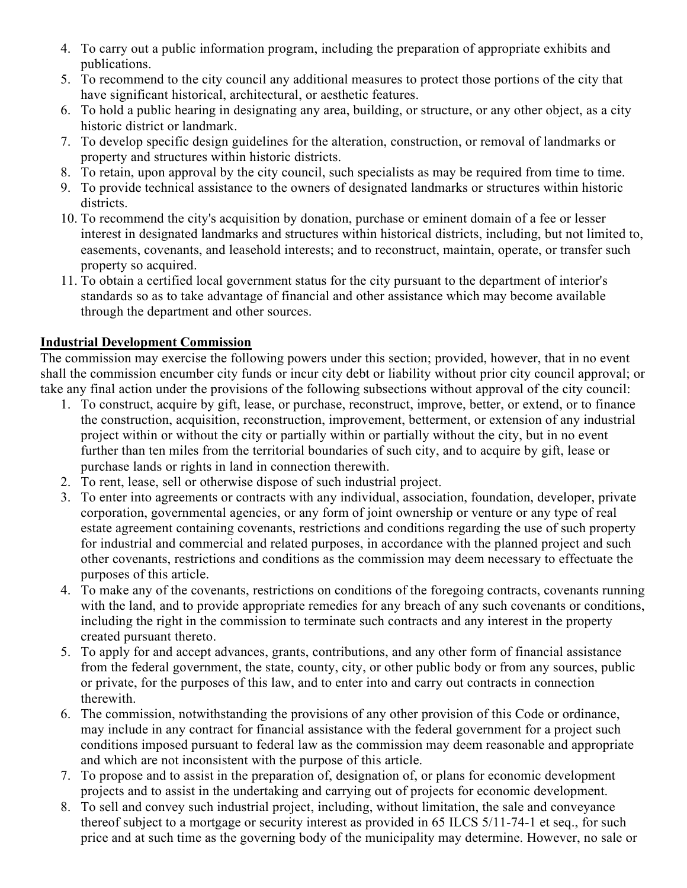- 4. To carry out a public information program, including the preparation of appropriate exhibits and publications.
- 5. To recommend to the city council any additional measures to protect those portions of the city that have significant historical, architectural, or aesthetic features.
- 6. To hold a public hearing in designating any area, building, or structure, or any other object, as a city historic district or landmark.
- 7. To develop specific design guidelines for the alteration, construction, or removal of landmarks or property and structures within historic districts.
- 8. To retain, upon approval by the city council, such specialists as may be required from time to time.
- 9. To provide technical assistance to the owners of designated landmarks or structures within historic districts.
- 10. To recommend the city's acquisition by donation, purchase or eminent domain of a fee or lesser interest in designated landmarks and structures within historical districts, including, but not limited to, easements, covenants, and leasehold interests; and to reconstruct, maintain, operate, or transfer such property so acquired.
- 11. To obtain a certified local government status for the city pursuant to the department of interior's standards so as to take advantage of financial and other assistance which may become available through the department and other sources.

### **Industrial Development Commission**

The commission may exercise the following powers under this section; provided, however, that in no event shall the commission encumber city funds or incur city debt or liability without prior city council approval; or take any final action under the provisions of the following subsections without approval of the city council:

- 1. To construct, acquire by gift, lease, or purchase, reconstruct, improve, better, or extend, or to finance the construction, acquisition, reconstruction, improvement, betterment, or extension of any industrial project within or without the city or partially within or partially without the city, but in no event further than ten miles from the territorial boundaries of such city, and to acquire by gift, lease or purchase lands or rights in land in connection therewith.
- 2. To rent, lease, sell or otherwise dispose of such industrial project.
- 3. To enter into agreements or contracts with any individual, association, foundation, developer, private corporation, governmental agencies, or any form of joint ownership or venture or any type of real estate agreement containing covenants, restrictions and conditions regarding the use of such property for industrial and commercial and related purposes, in accordance with the planned project and such other covenants, restrictions and conditions as the commission may deem necessary to effectuate the purposes of this article.
- 4. To make any of the covenants, restrictions on conditions of the foregoing contracts, covenants running with the land, and to provide appropriate remedies for any breach of any such covenants or conditions, including the right in the commission to terminate such contracts and any interest in the property created pursuant thereto.
- 5. To apply for and accept advances, grants, contributions, and any other form of financial assistance from the federal government, the state, county, city, or other public body or from any sources, public or private, for the purposes of this law, and to enter into and carry out contracts in connection therewith.
- 6. The commission, notwithstanding the provisions of any other provision of this Code or ordinance, may include in any contract for financial assistance with the federal government for a project such conditions imposed pursuant to federal law as the commission may deem reasonable and appropriate and which are not inconsistent with the purpose of this article.
- 7. To propose and to assist in the preparation of, designation of, or plans for economic development projects and to assist in the undertaking and carrying out of projects for economic development.
- 8. To sell and convey such industrial project, including, without limitation, the sale and conveyance thereof subject to a mortgage or security interest as provided in 65 ILCS 5/11-74-1 et seq., for such price and at such time as the governing body of the municipality may determine. However, no sale or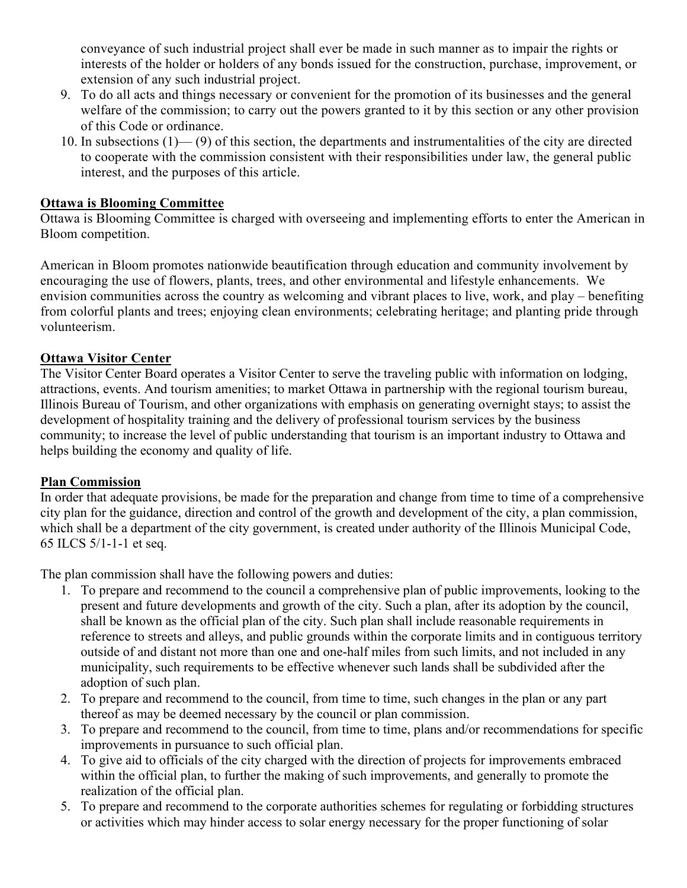conveyance of such industrial project shall ever be made in such manner as to impair the rights or interests of the holder or holders of any bonds issued for the construction, purchase, improvement, or extension of any such industrial project.

- 9. To do all acts and things necessary or convenient for the promotion of its businesses and the general welfare of the commission; to carry out the powers granted to it by this section or any other provision of this Code or ordinance.
- 10. In subsections (1)— (9) of this section, the departments and instrumentalities of the city are directed to cooperate with the commission consistent with their responsibilities under law, the general public interest, and the purposes of this article.

#### **Ottawa is Blooming Committee**

Ottawa is Blooming Committee is charged with overseeing and implementing efforts to enter the American in Bloom competition.

American in Bloom promotes nationwide beautification through education and community involvement by encouraging the use of flowers, plants, trees, and other environmental and lifestyle enhancements. We envision communities across the country as welcoming and vibrant places to live, work, and play – benefiting from colorful plants and trees; enjoying clean environments; celebrating heritage; and planting pride through volunteerism.

#### **Ottawa Visitor Center**

The Visitor Center Board operates a Visitor Center to serve the traveling public with information on lodging, attractions, events. And tourism amenities; to market Ottawa in partnership with the regional tourism bureau, Illinois Bureau of Tourism, and other organizations with emphasis on generating overnight stays; to assist the development of hospitality training and the delivery of professional tourism services by the business community; to increase the level of public understanding that tourism is an important industry to Ottawa and helps building the economy and quality of life.

#### **Plan Commission**

In order that adequate provisions, be made for the preparation and change from time to time of a comprehensive city plan for the guidance, direction and control of the growth and development of the city, a plan commission, which shall be a department of the city government, is created under authority of the Illinois Municipal Code, 65 ILCS 5/1-1-1 et seq.

The plan commission shall have the following powers and duties:

- 1. To prepare and recommend to the council a comprehensive plan of public improvements, looking to the present and future developments and growth of the city. Such a plan, after its adoption by the council, shall be known as the official plan of the city. Such plan shall include reasonable requirements in reference to streets and alleys, and public grounds within the corporate limits and in contiguous territory outside of and distant not more than one and one-half miles from such limits, and not included in any municipality, such requirements to be effective whenever such lands shall be subdivided after the adoption of such plan.
- 2. To prepare and recommend to the council, from time to time, such changes in the plan or any part thereof as may be deemed necessary by the council or plan commission.
- 3. To prepare and recommend to the council, from time to time, plans and/or recommendations for specific improvements in pursuance to such official plan.
- 4. To give aid to officials of the city charged with the direction of projects for improvements embraced within the official plan, to further the making of such improvements, and generally to promote the realization of the official plan.
- 5. To prepare and recommend to the corporate authorities schemes for regulating or forbidding structures or activities which may hinder access to solar energy necessary for the proper functioning of solar